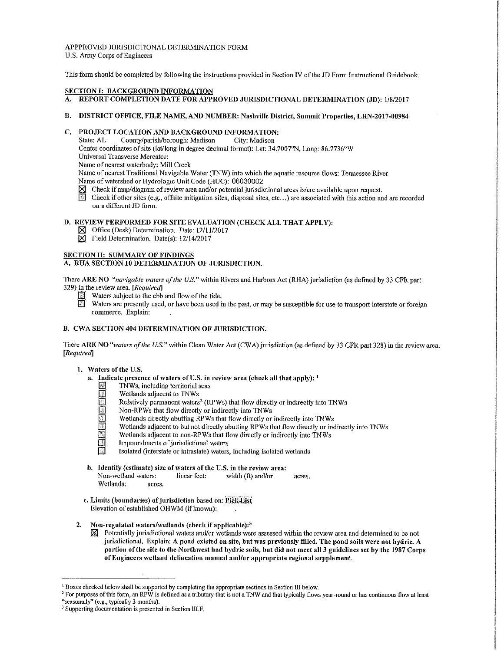APPPROVED JURISDICTIONAL DETERMINA'l10N FORM U.S. Army Corps of Engineers

This form should be completed by following the instructions provided in Section IV of the JD Form Instructional Guidebook.

# SECTION I: BACKGROUND INFORMATION

- A. REPORT COMPLETION DATE FOR APPROVED JURISDICTIONAL DETERMINATION (JD): 1/8/2017
- B. DISTRICT OFFICE, FILE NAME, AND NUMBER: Nashville District, Summit Properties, LRN-2017-00984

# C. PROJECT LOCATION AND BACKGROUND INFORMATION:<br>State: AL. County/parish/horough: Madison City: Madison

County/parish/borough: Madison City: Madison

Center coordinates of site (lat/long in degree decimal format): Lat: 34.7007°N, Long: 86.7736°W

Universal Transverse Mercator:

Name of nearest waterbody: Mill Creek

Name of nearest Traditional Navigable Water (TNW) into which the aquatic resource flows: Tennessee River

- Name of watershed or Hydrologic Unit Code (HUC): 06030002<br> **IM** Check if map/diagram of review area and/or potential jurisdion [81' Check if map/diagram of review area and/or potential jurisdictional areas is/are available upon request.
- Check if other sites (e.g., offsite mitigation sites, disposal sites, etc...) are associated with this action and are recorded on a different JD form.

# D. REVIEW PERFORMED FOR SITE EVALUATION (CHECK ALL THAT APPLY):

- $\boxtimes$  Office (Desk) Determination. Date: 12/11/2017
- $\overline{\boxtimes}$  Field Determination. Date(s): 12/14/2017

# SECTION II: SUMMARY OF FINDINGS

# A. RHA SECTION IO DETERMINATION OF JURISDICTION.

There ARE NO *"navigable waters of the U.S."* within Rivers and Harbors Act (RH.A) jurisdiction (as defined by 33 *CFR* part 329) in the review area. [Required]

- Waters subject to the ebb and flow of the tide.
- Waters are presently used, or have been used in the past, or may be susceptible for use to transport interstate or foreign commerce. Explain:

# B. CWA SECTION 404 DETERMINATION OF JURISDICTION.

There ARE NO "waters of the U.S." within Clean Water Act (CWA) jurisdiction (as defined by 33 CFR part 328) in the review area. [Required]

# 1. Waters of the U.S.

- a. Indicate presence of waters of U.S. in review area (check all that apply):  $<sup>1</sup>$ </sup>
	- TNWs, including territorial seas<br>
	Wetlands adjacent to TNWs
		- []' Wetlands adjacent to TNWs
		- Relatively permanent waters<sup>2</sup> (RPWs) that flow directly or indirectly into TNWs
		- Non-RPWs that flow directly or indirectly into TNWs
		- Wetlands directly abutting RPWs that flow directly or indirectly into TNWs
		- Wetlands adjacent to but not directly abutting RPWs that flow directly or indirectly into TNWs
		- Wetlands adjacent to non-RPWs that flow directly or indirectly into TNWs
		- Impoundments of jurisdictional waters
		- Isolated (interstate or intrastate) waters, including isolated wetlands
- b. Identify (estimate) size of waters of the U.S. in the review area: Non-wetland waters: linear feet: width (ft) and/or acres. Wetlands: acres.
- c. Limits (boundaries) of jurisdiction based on: Pick List Elevation of established OHWM (if known):
- 2. Non-regulated waters/wetlands (check if applicable): $3$ 
	- $\boxtimes$  Potentially jurisdictional waters and/or wetlands were assessed within the review area and determined to be not jurisdictional. Explain: A pond existed on site, but was previously filled. The pond soils were not hydric. A portion of the site to the Northwest had hydric soils, but did not meet all 3 guidelines set by the 1987 Corps of Engineers 'vetland delineation manual and/or appropriate regional supplement.

 $1$  Boxes checked below shall be supported by completing the appropriate sections in Section III below.

<sup>&</sup>lt;sup>2</sup> For purposes of this form, an RPW is defined as a tributary that is not a TNW and that typically flows year-round or has continuous flow at least "seasonally" (e.g., typically 3 months).

<sup>&</sup>lt;sup>3</sup> Supporting documentation is presented in Section III.F.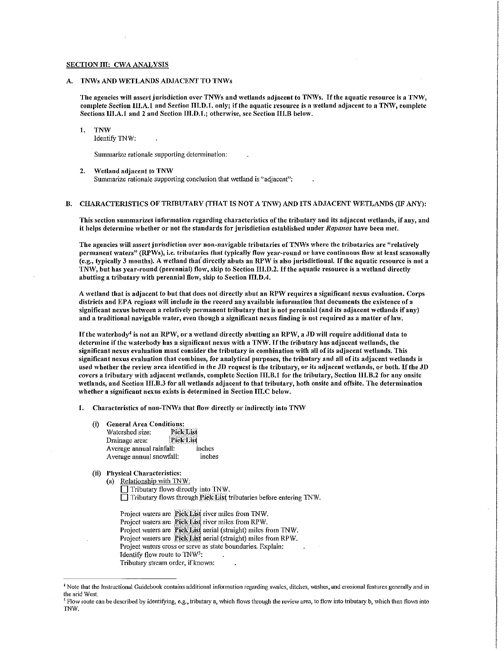#### SECTION III: CWA ANALYSIS

### A. TNWs AND WETLANDS ADJACENT TO TNWs

The agencies will assert jurisdiction over TNWs and wetlands adjacent to TNWs. If the aquatic resource is a TNW, complete Section III.A.1 and Section HI.D.1. only; if the aquatic resource is a wetland adjacent to a TNW, complete Sections III.A.1 and 2 and Section III.D.1.; otherwise, see Section III.B below.

#### 1. TNW

Identify TNW:

Summarize rationale supporting determination:

#### 2. Wetland adjacent to TNW

Summarize rationale supporting conclusion that wetland is "adjacent":

## B. CHARACTERISTICS OF TRIBUTARY (THAT IS NOT A TNW) AND ITS ADJACENT WETLANDS (IF ANY):

This section summarizes information regarding characteristics of the tributary and its adjacent 'vetlands, if auy, and it helps determine whether or not the standards for jurisdiction established under *Rapanos* have been met.

The agencies will assert jurisdiction over non-navigable tributaries of TNWs where the tributaries are "relatively permanent waters" (RPWs), i.e. tributaries that typically flow year-round or have continuous flow at least seasonally (e.g., typically 3 months). A wetland that directly abuts an RPW is also jurisdictional. If the aquatic resource is not a TNW, but has year-round (perennial) flow, skip to Section III.D.2. If the aquatic resource is a wetland directly abutting a tributary with perennial flow, skip to Section  $\Pi$ , D, 4.

A 'vetland that is adjacent to but that does not directly abut an RPW requires a significant nexus evaluation. Corps districts and EPA regions will include in the record any available information that documents the existence of a significant nexus between a relatively permanent tributary that is not perennial (and its adjacent wetlands if any) and a traditional navigable water, even though a significant nexus finding is not required as a matter of law.

If the waterbody<sup>4</sup> is not an RPW, or a wetland directly abutting an RPW, a JD will require additional data to determine if the waterbody has a significant nexus with a TNW. If the tributary has adjacent wetlands, the significant nexus evaluation must consider the tributary in combination with all of its adjacent wetlands. This significant nexus evaluation that combines, for analytical purposes, the tributary and all of its adjacent 'vetlands is used whether the review area identified in the JD request is the tributary, or its adjacent wetlands, or both. If the JD  $\epsilon$  covers a tributary with adjacent wetlands, complete Section  $\text{III}, \text{B}$ .1 for the tributary, Section III.B.2 for any onsite wetlands, and Section III.B.3 for all wetlands adjacent to that tributary, both onsite and offsite. The determination whether a significant nexus exists is determined in Section III.C below.

1. Characteristics of non-TNWs that flow directly or indirectly into TNW

- (i) General Area Conditions:<br>Watershed size: Pick List Watershed size: Pick List<br>Drainage area: Pick List Drainage area: Average annual rainfall: inches<br>Average annual snowfall: inches Average annual snowfall:
- (ii) Physical Characteristics:

(a) Relationship with TNW:  $\Box$  Tributary flows directly into TNW.  $\Box$  Tributary flows through Pick List tributaries before entering TNW.

Project waters are Pick List river miles from TNW. Project waters are Pick List river miles from RPW. Project waters are Pick List aerial (straight) miles from TNW. Project waters are Pick List aerial (straight) miles from RPW. Project waters cross or serve as state boundaries. Explain: Identify flow route to TNW5: Tributary stream order, if known:

<sup>~</sup>Note that the Instructional Guidebook contains additional information regarding swalcs, ditches, washes, and erosional features generally and in the arid West.<br><sup>5</sup> Flow route can be described by identifying, e.g., tributary a, which flows through the review area, to flow into tributary b, which then flows into

TNW.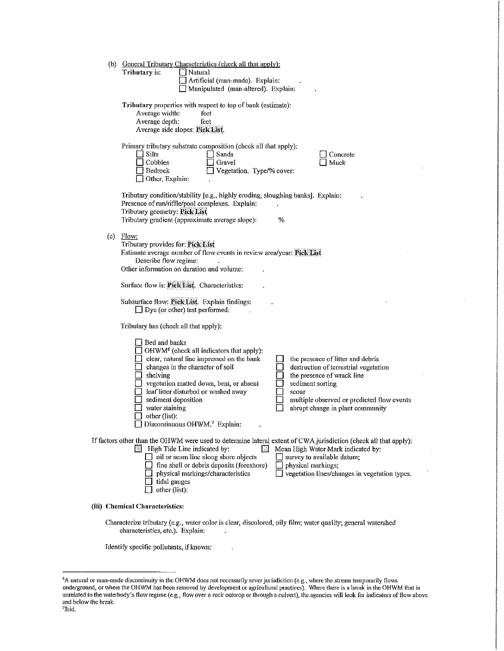| (b) | <b>General Tributary Characteristics (check all that apply):</b><br>Tributary is:<br>Natural                                                          |
|-----|-------------------------------------------------------------------------------------------------------------------------------------------------------|
|     | Artificial (man-made). Explain:<br>Manipulated (man-altered). Explain:                                                                                |
|     |                                                                                                                                                       |
|     | Tributary properties with respect to top of bank (estimate):<br>Average width:<br>feet                                                                |
|     | Average depth:<br>feet<br>Average side slopes: Pick List.                                                                                             |
|     |                                                                                                                                                       |
|     | Primary tributary substrate composition (check all that apply).<br>$\Box$ Silts<br>Sands<br>Concrete                                                  |
|     | Cobbles<br>Gravel<br>Muck<br>$\Box$ Bedrock<br>Vegetation. Type/% cover:                                                                              |
|     | □ Other. Explain:                                                                                                                                     |
|     | Tributary condition/stability [e.g., highly eroding, sloughing banks]. Explain:                                                                       |
|     | Presence of run/riffle/pool complexes. Explain:<br>Tributary geometry: Pick List                                                                      |
|     | Tributary gradient (approximate average slope):<br>%                                                                                                  |
|     | (c) $Flow:$                                                                                                                                           |
|     | Tributary provides for: Pick List<br>Estimate average number of flow events in review area/year: Pick List                                            |
|     | Describe flow regime:<br>Other information on duration and volume:                                                                                    |
|     | Surface flow is: Pick List. Characteristics:                                                                                                          |
|     | Subsurface flow: Pick List. Explain findings:                                                                                                         |
|     | $\Box$ Dye (or other) test performed:                                                                                                                 |
|     | Tributary has (check all that apply):                                                                                                                 |
|     | Bed and banks                                                                                                                                         |
|     | OHWM <sup>6</sup> (check all indicators that apply):<br>clear, natural line impressed on the bank<br>the presence of litter and debris                |
|     | changes in the character of soil<br>destruction of terrestrial vegetation<br>shelving<br>the presence of wrack line                                   |
|     | vegetation matted down, bent, or absent<br>sediment sorting                                                                                           |
|     | leaf litter disturbed or washed away<br>scour<br>sediment deposition<br>multiple observed or predicted flow events                                    |
|     | water staining<br>abrupt change in plant community<br>other (list):                                                                                   |
|     | Discontinuous OHWM.7 Explain:                                                                                                                         |
|     | If factors other than the OHWM were used to determine lateral extent of CWA jurisdiction (check all that apply):                                      |
|     | High Tide Line indicated by:<br>Mean High Water Mark indicated by:<br>13<br>IЯ<br>oil or scum line along shore objects<br>survey to available datum;  |
|     | fine shell or debris deposits (foreshore)<br>physical markings;<br>vegetation lines/changes in vegetation types.<br>physical markings/characteristics |
|     | tidal gauges<br>other (list):                                                                                                                         |
|     |                                                                                                                                                       |
|     | (iii) Chemical Characteristics:                                                                                                                       |
|     | Characterize tributary (e.g., water color is clear, discolored, oily film; water quality; general watershed<br>characteristics, etc.). Explain:       |

Identify specific pollutants, if known:

 $\ddot{\phantom{a}}$ 

<sup>6</sup> A natural or man-made discontinuity in the OHWM docs not necessarily sever jurisdiction (e.g., where the stream temporarily flows underground, or where the OHWM has been removed by development or agricultural practices). Where there is a break in the OHWM that is unrelated to the waterbody's flow regime (e.g., flow over a rock outcrop or through a culvert), the agencies will look for indicators of flow above and below the break. Ibid.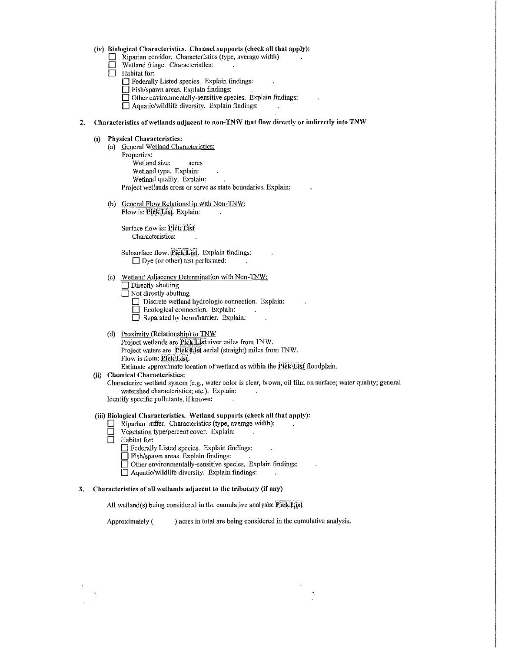#### **(iv) Biological Characteristics. Channel supports (check all that apply):**

- **D** Riparian corridor. Characteristics (type, average width):<br>□ Wetland fringe. Characteristics:
- Wetland fringe. Characteristics:
- $\Box$  Habitat for:
	- **D** Federally Listed species. Explain findings:
	- **D** Fish/spawn areas. Explain findings:
	- □ Other environmentally-sensitive species. Explain findings:
	- **D** Aquatic/wildlife diversity. Explain findings:

# 2. Characteristics of wetlands adjacent to non-TNW that flow directly or indirectly into TNW

## **(i) Physical Characteristics:**

- (a) General Wetland Characteristics: Properties: Wetland size: acres Wetland type. Explain: Wetland quality. Explain:  $\ddot{\phantom{a}}$ Project wetlands cross or serve as state boundaries. Explain:
- (b) General Flow Relationship with Non-TNW: Flow is: Pick-List. Explain:

Surface flow is: Pick List Characteristics:

Subsurface flow: Pick List. Explain findings: □ Dye (or other) test performed:

- (c) Wetland Adjacency Determination with Non-TNW:
	- **Directly abutting**
	- $\Box$  Not directly abutting
		- □ Discrete wetland hydrologic connection. Explain:
		- **D** Ecological connection. Explain:
		- **D** Separated by berm/barrier. Explain:
- (d) Proximity (Relationship) to TNW Project wetlands are **Pick List** river miles from TNW. Project waters are PickList aerial (straight) miles from TNW. Flow is from: Pick List. Estimate approximate location of wetland as within the **Pick List** floodplain.
- **(ii) Chemical Characteristics:**

Characterize wetland system (e.g., water color is clear, brown, oil film on surface; water quality; general

watershed characteristics; etc.). Explain:

Identify specific pollutants, if known:

# **(iii) Biological Characteristics. Wetland supports (check all that apply):**

- **D** Riparian buffer. Characteristics (type, average width):
- **D** Vegetation type/percent cover. Explain:
- **D Habitat** for:
	- D Federally Listed species. Explain findings:
	- **D** Fish/spawn areas. Explain findings:
	- **D** Other environmentally-sensitive species. Explain findings:
	- $\Box$  Aquatic/wildlife diversity. Explain findings:

#### 3. Characteristics of all wetlands adjacent to the tributary (if any)

All wetland(s) being considered in the cumulative analysis: **PickList** 

Approximately ( ) acres in total are being considered in the cumulative analysis.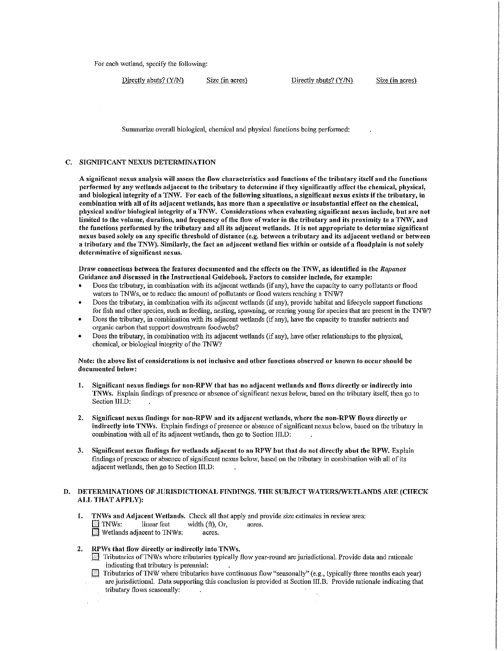For each wetland, specify the following:

 $Directly abuse? (Y/N)$  Size (in acres) Directly abuts?  $(Y/N)$  Size (in acres)

Summarize overall biological, chemical and physical functions being performed:

# C. SIGNIFICANT NEXUS DETERMINATION

A significant nexus analysis will assess the flow characteristics and functions of the tributary itself and the functions performed by any 'vetlands adjacent to the tributary to determine if they significantly affect the chemical, physical, and biological integrity of a TN\V. For each of the following situations, a significant nexus exists if the tributary, in combination with all of its adjacent wetlands, has more than a speculative or insubstantial effect on the chemical, physical and/or biological integrity of a TNW. Considerations when evaluating significant nexus include, but are not limited to the volume, duration, and frequency of the flow of water in the tributary and its proximity to a TNW, and the functions performed by the tributary and all its adjacent wetlands. It is not appropriate to determine significant nexus based solely on any specific threshold of distance (e.g. between a tributary and its adjacent wetland or between a tributary and the TNW). Similarly, the fact an adjacent wetland lies within or outside of a floodplain is not solely determinative of significant nexus.

Draw connections between the features documented and the effects on the TNW, as identified in the *Rapanos* Guidance and discussed in the Instructional Guidebook. Factors to consider include, for example:

- Does the tributary, in combination with its adjacent wetlands (if any), have the capacity to carry pollutants or flood waters to TNWs, or to reduce the amount of pollutants or flood waters reaching a TNW?
- Does the tributary, in combination with its adjacent wetlands (if any), provide habitat and lifecycle suppott functions for fish and other species, such as feeding, nesting, spawning, or rearing young for species that are present in the TNW?
- Does the tributary, in combination with its adjacent wetlands (if any), have the capacity to transfer nutrients and organic carbon that support downstream foodwebs?
- Does the tributaty, in combination with its adjacent wetlands (if any), have other relationships to the physical, chemical, or biological integrity of the TNW?

## Note: the above list of considerations is not inclusive and other functions observed or known to occur should be documented below:

- 1. Significant nexus findings for non-RPW that has no adjacent wetlands and flows directly or indirectly into TN\Vs. Explain findings of presence or absence of significant nexus belo\V, based on the tributary itself, then go to Section III.D:
- 2. Significant nexus findings for non-RPW and its adjacent wetlands, where the non-RPW flows directly or indirectly into TNWs. Explain findings of presence or absence of significant nexus below, based on the tributary in combination with all of its adjacent wetlands, then go to Section III.D:
- 3. Significant nexus findings for wetlands adjacent to an RPW but that do not directly abut the RPW. Explain findings of presence or absence of significant nexus below, based on the tributary in combination with all of its adjacent wetlands, then go to Section III.D:

# D. DETERMINATIONS OF JURISDICTIONAL FINDINGS. THE SUBJECT WATERS/WETLANDS ARE (CHECK ALL THAT APPLY):

- 1. TNWs and Adjacent Wetlands. Check all that apply and provide size estimates in review area:<br> $\Box$  TNWs: linear feet width (ft). Or. acres.  $width (ft), Or, \narepsilon.$  $\Box$  Wetlands adjacent to TNWs:
- 2. RPWs that flow directly or indirectly into TNWs.
	- $\Box$  Tributaries of TNWs where tributaries typically flow year-round are jurisdictional. Provide data and rationale indicating that tributary is perennial:
	- **[31]** Tributaries of TNW where tributaries have continuous flow "seasonally" (e.g., typically three months each year) are jurisdictional. Data supporting this conclusion is provided at Section III.B. Provide rationale indicating that tributary flows seasonally: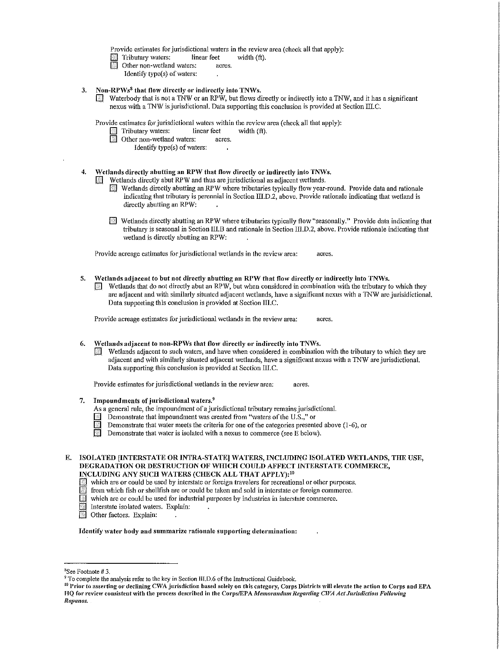Provide estimates for jurisdictional waters in the review area (check all that apply):<br>
Tributary waters: linear feet width (ft).

- Tributary waters: linear feet with the Tributary waters: linear feet with  $\Box$ <br>Other non-wetland waters: acres.
- Other non-wetland waters:
	- Identify type(s) of waters:
- 3. Non-RPWs $<sup>8</sup>$  that flow directly or indirectly into TNWs.</sup>
	- D. Waterbody that is not a TNW or an RPW, but flows directly or indirectly into a TNW, and it has a significant nexus with a TNW is jurisdictional. Data supporting this conclusion is provided at Section III.C.

Provide estimates for jurisdictional waters within the review area (check all that apply):<br>  $\Box$  Tributary waters: linear fect width (ft).

- Tributary waters: linear feet<br>
Other non-wetland waters: acres.
- Other non-wetland waters:
	- Identify type{s) of waters:
- 4. Wetlands directly abutting an RPW that flow directly or indirectly into TNWs.

Wetlands directly abut RPW and thus are jurisdictional as adjacent wetlands.

- $\Box$  Wetlands directly abutting an RPW where tributaries typically flow year-round. Provide data and rationale indicating that tributary is perennial in Section III.D.2, above. Provide rationale indicating that wetland is directly abutting an RPW:
- **EXECUTE Wetlands directly abutting an RPW where tributaries typically flow "seasonally." Provide data indicating that** tributary is seasonal in Section III.fl and rationale in Section III.D.2, above. Provide rationale indicating that wetland is directly abutting an RPW:

Provide acreage estimates for jurisdictional wetlands in the review area: acres.

5. Wetlands adjacent to but not directly abutting an RPW that flow directly or indirectly into TNWs.

 $\blacksquare$  Wetlands that do not directly abut an RPW, but when considered in combination with the tributary to which they are adjacent and with similarly situated adjacent wetlands, have a significant nexus with a TNW are jurisidictional. Data supporting this conclusion is provided at Section III.C.

Provide acreage estimates for jurisdictional wetlands in the review area: acres.

## 6. Wetlands adjacent to non-RPWs that flow directly or indirectly into TNWs.

 $\blacksquare$  Wetlands adjacent to such waters, and have when considered in combination with the tributary to which they are adjacent and with similarly situated adjacent wetlands, have a significant nexus with a TNW are jurisdictional. Data supporting this conclusion is provided at Section III.C.

Provide estimates for jurisdictional wetlands in the review area: acres.

- 7. Impoundments of jurisdictional waters. $9$ 
	- As a general rule, the impoundment of a jurisdictional tributary remains jurisdictional.
	- $\boxed{\color{green}\blacksquare\color{black}}$  Demonstrate that impoundment was created from "waters of the U.S.," or
	- Demonstrate that water meets the criteria for one of the categories presented above (1-6), or<br>Demonstrate that water is isolated with a nexus to commerce (see E helow).
	- Demonstrate that water is isolated with a nexus to commerce (see E below).

E. ISOLATED IINTERSTATE OR INTRA-STATE] WATERS, INCLUDING ISOLATED WETLANDS, THE USE, DEGRADATION OR DESTRUCTION OF WHICH COULD AFFECT INTERSTATE COMMERCE, INCLUDING ANY SUCH WATERS (CHECK ALL THAT APPLY):<sup>10</sup>

- which are or could be used by interstate or foreign travelers for recreational or other purposes.
- 
- $\Box$  from which fish or shellfish are or could be taken and sold in interstate or foreign commerce.<br> $\Box$  which are or could be used for industrial purposes by industries in interstate commerce. which are or could be used for industrial purposes by industries in interstate commerce,
- Interstate isolated waters. Explain:
- Other factors. Explain:

Identify water body and summarize rationale supporting determination:

 $8$ See Footnote #3

<sup>&</sup>lt;sup>9</sup> To complete the analysis refer to the key in Section III.D.6 of the Instructional Guidebook.<br><sup>10</sup> Prior to asserting or declining CWA jurisdiction based solely on this category, Corps Districts will elevate the action HQ for review consistent with the process described in the Corps/EPA *Memoro11d11111 Regardi11g C1VA Act Jurisdiction Following*   $Rapanos.$